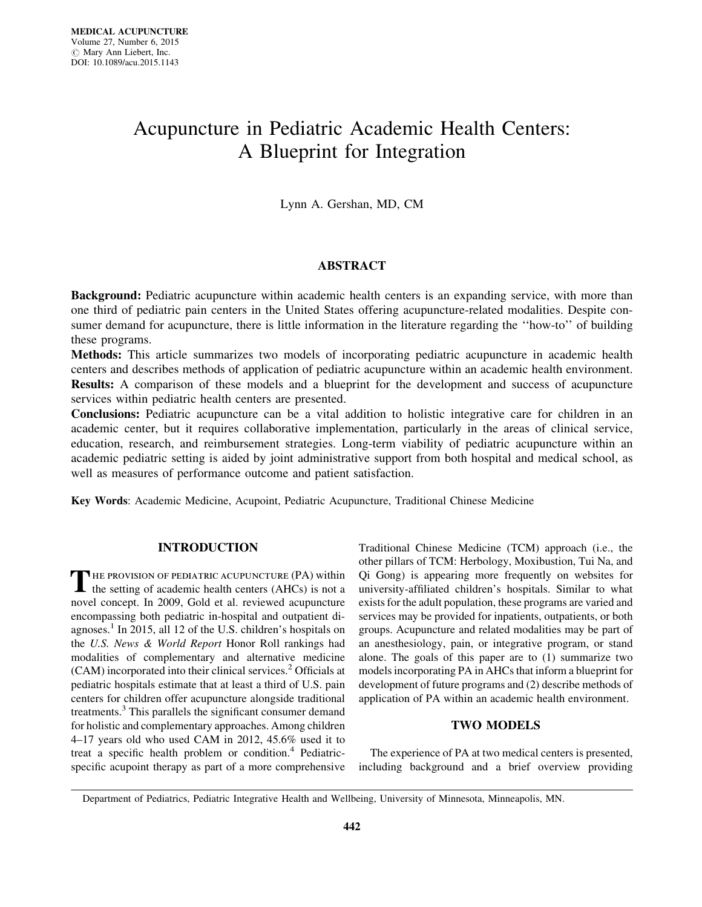# Acupuncture in Pediatric Academic Health Centers: A Blueprint for Integration

Lynn A. Gershan, MD, CM

# ABSTRACT

Background: Pediatric acupuncture within academic health centers is an expanding service, with more than one third of pediatric pain centers in the United States offering acupuncture-related modalities. Despite consumer demand for acupuncture, there is little information in the literature regarding the ''how-to'' of building these programs.

Methods: This article summarizes two models of incorporating pediatric acupuncture in academic health centers and describes methods of application of pediatric acupuncture within an academic health environment. Results: A comparison of these models and a blueprint for the development and success of acupuncture services within pediatric health centers are presented.

Conclusions: Pediatric acupuncture can be a vital addition to holistic integrative care for children in an academic center, but it requires collaborative implementation, particularly in the areas of clinical service, education, research, and reimbursement strategies. Long-term viability of pediatric acupuncture within an academic pediatric setting is aided by joint administrative support from both hospital and medical school, as well as measures of performance outcome and patient satisfaction.

Key Words: Academic Medicine, Acupoint, Pediatric Acupuncture, Traditional Chinese Medicine

# INTRODUCTION

THE PROVISION OF PEDIATRIC ACUPUNCTURE (PA) within  $\mathbf L$  the setting of academic health centers (AHCs) is not a novel concept. In 2009, Gold et al. reviewed acupuncture encompassing both pediatric in-hospital and outpatient diagnoses. $<sup>1</sup>$  In 2015, all 12 of the U.S. children's hospitals on</sup> the U.S. News & World Report Honor Roll rankings had modalities of complementary and alternative medicine (CAM) incorporated into their clinical services.<sup>2</sup> Officials at pediatric hospitals estimate that at least a third of U.S. pain centers for children offer acupuncture alongside traditional treatments.<sup>3</sup> This parallels the significant consumer demand for holistic and complementary approaches. Among children 4–17 years old who used CAM in 2012, 45.6% used it to treat a specific health problem or condition.<sup>4</sup> Pediatricspecific acupoint therapy as part of a more comprehensive Traditional Chinese Medicine (TCM) approach (i.e., the other pillars of TCM: Herbology, Moxibustion, Tui Na, and Qi Gong) is appearing more frequently on websites for university-affiliated children's hospitals. Similar to what exists for the adult population, these programs are varied and services may be provided for inpatients, outpatients, or both groups. Acupuncture and related modalities may be part of an anesthesiology, pain, or integrative program, or stand alone. The goals of this paper are to (1) summarize two models incorporating PA in AHCs that inform a blueprint for development of future programs and (2) describe methods of application of PA within an academic health environment.

# TWO MODELS

The experience of PA at two medical centers is presented, including background and a brief overview providing

Department of Pediatrics, Pediatric Integrative Health and Wellbeing, University of Minnesota, Minneapolis, MN.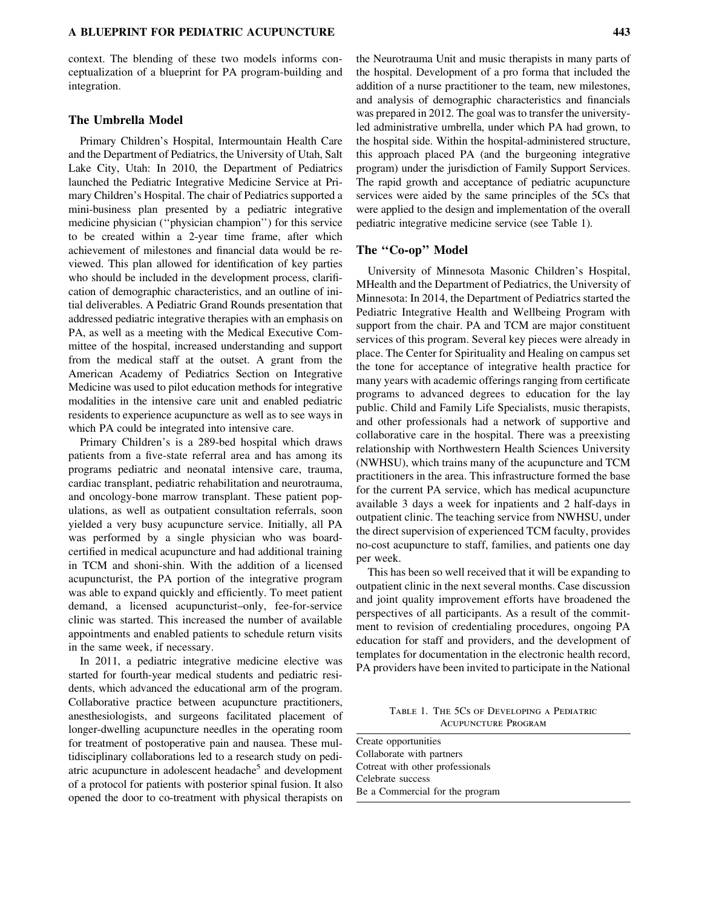context. The blending of these two models informs conceptualization of a blueprint for PA program-building and integration.

# The Umbrella Model

Primary Children's Hospital, Intermountain Health Care and the Department of Pediatrics, the University of Utah, Salt Lake City, Utah: In 2010, the Department of Pediatrics launched the Pediatric Integrative Medicine Service at Primary Children's Hospital. The chair of Pediatrics supported a mini-business plan presented by a pediatric integrative medicine physician (''physician champion'') for this service to be created within a 2-year time frame, after which achievement of milestones and financial data would be reviewed. This plan allowed for identification of key parties who should be included in the development process, clarification of demographic characteristics, and an outline of initial deliverables. A Pediatric Grand Rounds presentation that addressed pediatric integrative therapies with an emphasis on PA, as well as a meeting with the Medical Executive Committee of the hospital, increased understanding and support from the medical staff at the outset. A grant from the American Academy of Pediatrics Section on Integrative Medicine was used to pilot education methods for integrative modalities in the intensive care unit and enabled pediatric residents to experience acupuncture as well as to see ways in which PA could be integrated into intensive care.

Primary Children's is a 289-bed hospital which draws patients from a five-state referral area and has among its programs pediatric and neonatal intensive care, trauma, cardiac transplant, pediatric rehabilitation and neurotrauma, and oncology-bone marrow transplant. These patient populations, as well as outpatient consultation referrals, soon yielded a very busy acupuncture service. Initially, all PA was performed by a single physician who was boardcertified in medical acupuncture and had additional training in TCM and shoni-shin. With the addition of a licensed acupuncturist, the PA portion of the integrative program was able to expand quickly and efficiently. To meet patient demand, a licensed acupuncturist–only, fee-for-service clinic was started. This increased the number of available appointments and enabled patients to schedule return visits in the same week, if necessary.

In 2011, a pediatric integrative medicine elective was started for fourth-year medical students and pediatric residents, which advanced the educational arm of the program. Collaborative practice between acupuncture practitioners, anesthesiologists, and surgeons facilitated placement of longer-dwelling acupuncture needles in the operating room for treatment of postoperative pain and nausea. These multidisciplinary collaborations led to a research study on pediatric acupuncture in adolescent headache<sup>5</sup> and development of a protocol for patients with posterior spinal fusion. It also opened the door to co-treatment with physical therapists on the Neurotrauma Unit and music therapists in many parts of the hospital. Development of a pro forma that included the addition of a nurse practitioner to the team, new milestones, and analysis of demographic characteristics and financials was prepared in 2012. The goal was to transfer the universityled administrative umbrella, under which PA had grown, to the hospital side. Within the hospital-administered structure, this approach placed PA (and the burgeoning integrative program) under the jurisdiction of Family Support Services. The rapid growth and acceptance of pediatric acupuncture services were aided by the same principles of the 5Cs that were applied to the design and implementation of the overall pediatric integrative medicine service (see Table 1).

# The "Co-op" Model

University of Minnesota Masonic Children's Hospital, MHealth and the Department of Pediatrics, the University of Minnesota: In 2014, the Department of Pediatrics started the Pediatric Integrative Health and Wellbeing Program with support from the chair. PA and TCM are major constituent services of this program. Several key pieces were already in place. The Center for Spirituality and Healing on campus set the tone for acceptance of integrative health practice for many years with academic offerings ranging from certificate programs to advanced degrees to education for the lay public. Child and Family Life Specialists, music therapists, and other professionals had a network of supportive and collaborative care in the hospital. There was a preexisting relationship with Northwestern Health Sciences University (NWHSU), which trains many of the acupuncture and TCM practitioners in the area. This infrastructure formed the base for the current PA service, which has medical acupuncture available 3 days a week for inpatients and 2 half-days in outpatient clinic. The teaching service from NWHSU, under the direct supervision of experienced TCM faculty, provides no-cost acupuncture to staff, families, and patients one day per week.

This has been so well received that it will be expanding to outpatient clinic in the next several months. Case discussion and joint quality improvement efforts have broadened the perspectives of all participants. As a result of the commitment to revision of credentialing procedures, ongoing PA education for staff and providers, and the development of templates for documentation in the electronic health record, PA providers have been invited to participate in the National

Table 1. The 5Cs of Developing a Pediatric Acupuncture Program

Create opportunities Collaborate with partners Cotreat with other professionals Celebrate success Be a Commercial for the program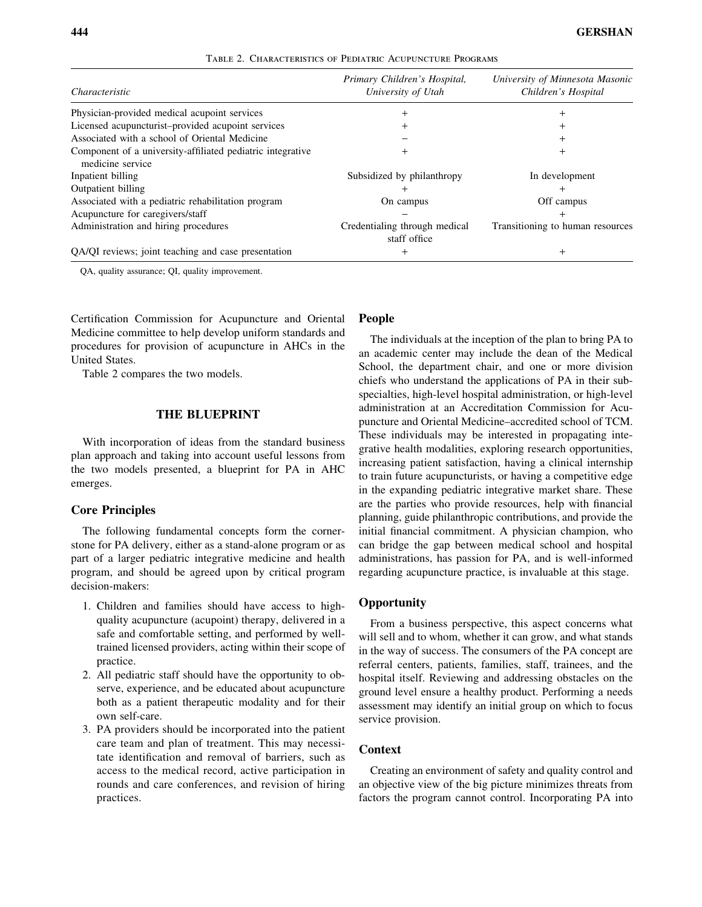| Characteristic                                                                 | Primary Children's Hospital,<br>University of Utah | University of Minnesota Masonic<br>Children's Hospital |
|--------------------------------------------------------------------------------|----------------------------------------------------|--------------------------------------------------------|
| Physician-provided medical acupoint services                                   | $\,+\,$                                            |                                                        |
| Licensed acupuncturist-provided acupoint services                              | $\overline{+}$                                     |                                                        |
| Associated with a school of Oriental Medicine                                  |                                                    |                                                        |
| Component of a university-affiliated pediatric integrative<br>medicine service | $\,+\,$                                            | $^+$                                                   |
| Inpatient billing                                                              | Subsidized by philanthropy                         | In development                                         |
| Outpatient billing                                                             |                                                    |                                                        |
| Associated with a pediatric rehabilitation program                             | On campus                                          | Off campus                                             |
| Acupuncture for caregivers/staff                                               |                                                    |                                                        |
| Administration and hiring procedures                                           | Credentialing through medical<br>staff office      | Transitioning to human resources                       |
| QA/QI reviews; joint teaching and case presentation                            |                                                    | $^+$                                                   |

Table 2. Characteristics of Pediatric Acupuncture Programs

QA, quality assurance; QI, quality improvement.

Certification Commission for Acupuncture and Oriental Medicine committee to help develop uniform standards and procedures for provision of acupuncture in AHCs in the United States.

Table 2 compares the two models.

# THE BLUEPRINT

With incorporation of ideas from the standard business plan approach and taking into account useful lessons from the two models presented, a blueprint for PA in AHC emerges.

### Core Principles

The following fundamental concepts form the cornerstone for PA delivery, either as a stand-alone program or as part of a larger pediatric integrative medicine and health program, and should be agreed upon by critical program decision-makers:

- 1. Children and families should have access to highquality acupuncture (acupoint) therapy, delivered in a safe and comfortable setting, and performed by welltrained licensed providers, acting within their scope of practice.
- 2. All pediatric staff should have the opportunity to observe, experience, and be educated about acupuncture both as a patient therapeutic modality and for their own self-care.
- 3. PA providers should be incorporated into the patient care team and plan of treatment. This may necessitate identification and removal of barriers, such as access to the medical record, active participation in rounds and care conferences, and revision of hiring practices.

### People

The individuals at the inception of the plan to bring PA to an academic center may include the dean of the Medical School, the department chair, and one or more division chiefs who understand the applications of PA in their subspecialties, high-level hospital administration, or high-level administration at an Accreditation Commission for Acupuncture and Oriental Medicine–accredited school of TCM. These individuals may be interested in propagating integrative health modalities, exploring research opportunities, increasing patient satisfaction, having a clinical internship to train future acupuncturists, or having a competitive edge in the expanding pediatric integrative market share. These are the parties who provide resources, help with financial planning, guide philanthropic contributions, and provide the initial financial commitment. A physician champion, who can bridge the gap between medical school and hospital administrations, has passion for PA, and is well-informed regarding acupuncture practice, is invaluable at this stage.

# **Opportunity**

From a business perspective, this aspect concerns what will sell and to whom, whether it can grow, and what stands in the way of success. The consumers of the PA concept are referral centers, patients, families, staff, trainees, and the hospital itself. Reviewing and addressing obstacles on the ground level ensure a healthy product. Performing a needs assessment may identify an initial group on which to focus service provision.

# **Context**

Creating an environment of safety and quality control and an objective view of the big picture minimizes threats from factors the program cannot control. Incorporating PA into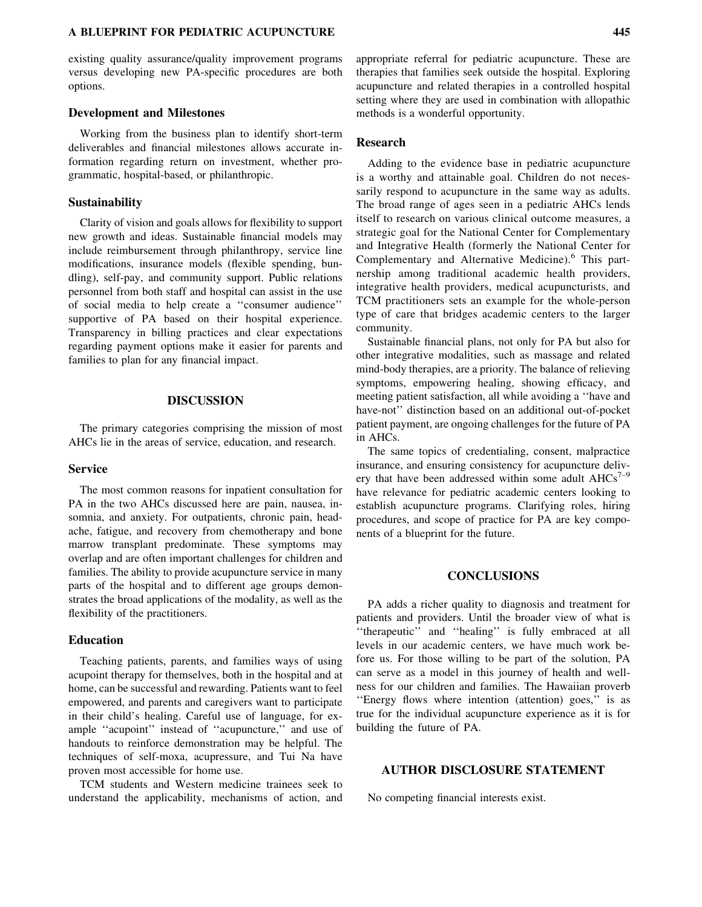existing quality assurance/quality improvement programs versus developing new PA-specific procedures are both options.

#### Development and Milestones

Working from the business plan to identify short-term deliverables and financial milestones allows accurate information regarding return on investment, whether programmatic, hospital-based, or philanthropic.

#### Sustainability

Clarity of vision and goals allows for flexibility to support new growth and ideas. Sustainable financial models may include reimbursement through philanthropy, service line modifications, insurance models (flexible spending, bundling), self-pay, and community support. Public relations personnel from both staff and hospital can assist in the use of social media to help create a ''consumer audience'' supportive of PA based on their hospital experience. Transparency in billing practices and clear expectations regarding payment options make it easier for parents and families to plan for any financial impact.

# DISCUSSION

The primary categories comprising the mission of most AHCs lie in the areas of service, education, and research.

## Service

The most common reasons for inpatient consultation for PA in the two AHCs discussed here are pain, nausea, insomnia, and anxiety. For outpatients, chronic pain, headache, fatigue, and recovery from chemotherapy and bone marrow transplant predominate. These symptoms may overlap and are often important challenges for children and families. The ability to provide acupuncture service in many parts of the hospital and to different age groups demonstrates the broad applications of the modality, as well as the flexibility of the practitioners.

#### Education

Teaching patients, parents, and families ways of using acupoint therapy for themselves, both in the hospital and at home, can be successful and rewarding. Patients want to feel empowered, and parents and caregivers want to participate in their child's healing. Careful use of language, for example ''acupoint'' instead of ''acupuncture,'' and use of handouts to reinforce demonstration may be helpful. The techniques of self-moxa, acupressure, and Tui Na have proven most accessible for home use.

TCM students and Western medicine trainees seek to understand the applicability, mechanisms of action, and appropriate referral for pediatric acupuncture. These are therapies that families seek outside the hospital. Exploring acupuncture and related therapies in a controlled hospital setting where they are used in combination with allopathic methods is a wonderful opportunity.

## Research

Adding to the evidence base in pediatric acupuncture is a worthy and attainable goal. Children do not necessarily respond to acupuncture in the same way as adults. The broad range of ages seen in a pediatric AHCs lends itself to research on various clinical outcome measures, a strategic goal for the National Center for Complementary and Integrative Health (formerly the National Center for Complementary and Alternative Medicine).<sup>6</sup> This partnership among traditional academic health providers, integrative health providers, medical acupuncturists, and TCM practitioners sets an example for the whole-person type of care that bridges academic centers to the larger community.

Sustainable financial plans, not only for PA but also for other integrative modalities, such as massage and related mind-body therapies, are a priority. The balance of relieving symptoms, empowering healing, showing efficacy, and meeting patient satisfaction, all while avoiding a ''have and have-not'' distinction based on an additional out-of-pocket patient payment, are ongoing challenges for the future of PA in AHCs.

The same topics of credentialing, consent, malpractice insurance, and ensuring consistency for acupuncture delivery that have been addressed within some adult  $AHCs^{7-9}$ have relevance for pediatric academic centers looking to establish acupuncture programs. Clarifying roles, hiring procedures, and scope of practice for PA are key components of a blueprint for the future.

#### CONCLUSIONS

PA adds a richer quality to diagnosis and treatment for patients and providers. Until the broader view of what is ''therapeutic'' and ''healing'' is fully embraced at all levels in our academic centers, we have much work before us. For those willing to be part of the solution, PA can serve as a model in this journey of health and wellness for our children and families. The Hawaiian proverb ''Energy flows where intention (attention) goes,'' is as true for the individual acupuncture experience as it is for building the future of PA.

# AUTHOR DISCLOSURE STATEMENT

No competing financial interests exist.